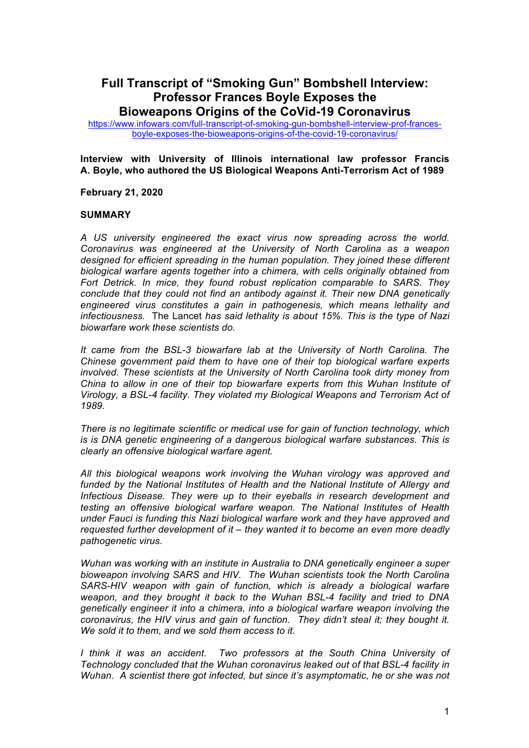# **Full Transcript of "Smoking Gun" Bombshell Interview: Professor Frances Boyle Exposes the Bioweapons Origins of the CoVid-19 Coronavirus**

https://www.infowars.com/full-transcript-of-smoking-gun-bombshell-interview-prof-francesboyle-exposes-the-bioweapons-origins-of-the-covid-19-coronavirus/

**Interview with University of Illinois international law professor Francis A. Boyle, who authored the US Biological Weapons Anti-Terrorism Act of 1989**

**February 21, 2020** 

#### **SUMMARY**

*A US university engineered the exact virus now spreading across the world. Coronavirus was engineered at the University of North Carolina as a weapon designed for efficient spreading in the human population. They joined these different biological warfare agents together into a chimera, with cells originally obtained from Fort Detrick. In mice, they found robust replication comparable to SARS. They conclude that they could not find an antibody against it. Their new DNA genetically engineered virus constitutes a gain in pathogenesis, which means lethality and infectiousness.* The Lancet *has said lethality is about 15%. This is the type of Nazi biowarfare work these scientists do.*

*It came from the BSL-3 biowarfare lab at the University of North Carolina. The Chinese government paid them to have one of their top biological warfare experts involved. These scientists at the University of North Carolina took dirty money from China to allow in one of their top biowarfare experts from this Wuhan Institute of Virology, a BSL-4 facility. They violated my Biological Weapons and Terrorism Act of 1989.*

*There is no legitimate scientific or medical use for gain of function technology, which is is DNA genetic engineering of a dangerous biological warfare substances. This is clearly an offensive biological warfare agent.*

*All this biological weapons work involving the Wuhan virology was approved and funded by the National Institutes of Health and the National Institute of Allergy and Infectious Disease. They were up to their eyeballs in research development and testing an offensive biological warfare weapon. The National Institutes of Health under Fauci is funding this Nazi biological warfare work and they have approved and requested further development of it – they wanted it to become an even more deadly pathogenetic virus.* 

*Wuhan was working with an institute in Australia to DNA genetically engineer a super bioweapon involving SARS and HIV. The Wuhan scientists took the North Carolina SARS-HIV weapon with gain of function, which is already a biological warfare weapon, and they brought it back to the Wuhan BSL-4 facility and tried to DNA genetically engineer it into a chimera, into a biological warfare weapon involving the coronavirus, the HIV virus and gain of function. They didn't steal it; they bought it. We sold it to them, and we sold them access to it.*

*I think it was an accident. Two professors at the South China University of Technology concluded that the Wuhan coronavirus leaked out of that BSL-4 facility in Wuhan. A scientist there got infected, but since it's asymptomatic, he or she was not*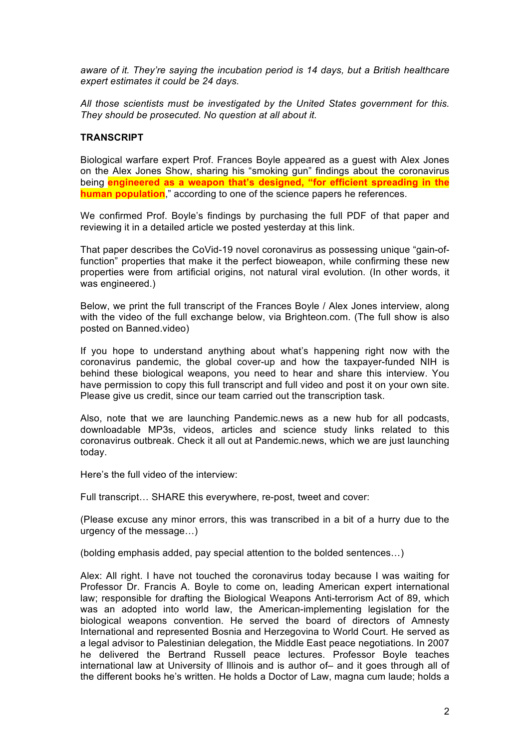*aware of it. They're saying the incubation period is 14 days, but a British healthcare expert estimates it could be 24 days.* 

*All those scientists must be investigated by the United States government for this. They should be prosecuted. No question at all about it.*

## **TRANSCRIPT**

Biological warfare expert Prof. Frances Boyle appeared as a guest with Alex Jones on the Alex Jones Show, sharing his "smoking gun" findings about the coronavirus being **engineered as a weapon that's designed, "for efficient spreading in the human population**," according to one of the science papers he references.

We confirmed Prof. Boyle's findings by purchasing the full PDF of that paper and reviewing it in a detailed article we posted yesterday at this link.

That paper describes the CoVid-19 novel coronavirus as possessing unique "gain-offunction" properties that make it the perfect bioweapon, while confirming these new properties were from artificial origins, not natural viral evolution. (In other words, it was engineered.)

Below, we print the full transcript of the Frances Boyle / Alex Jones interview, along with the video of the full exchange below, via Brighteon.com. (The full show is also posted on Banned.video)

If you hope to understand anything about what's happening right now with the coronavirus pandemic, the global cover-up and how the taxpayer-funded NIH is behind these biological weapons, you need to hear and share this interview. You have permission to copy this full transcript and full video and post it on your own site. Please give us credit, since our team carried out the transcription task.

Also, note that we are launching Pandemic.news as a new hub for all podcasts, downloadable MP3s, videos, articles and science study links related to this coronavirus outbreak. Check it all out at Pandemic.news, which we are just launching today.

Here's the full video of the interview:

Full transcript… SHARE this everywhere, re-post, tweet and cover:

(Please excuse any minor errors, this was transcribed in a bit of a hurry due to the urgency of the message…)

(bolding emphasis added, pay special attention to the bolded sentences…)

Alex: All right. I have not touched the coronavirus today because I was waiting for Professor Dr. Francis A. Boyle to come on, leading American expert international law; responsible for drafting the Biological Weapons Anti-terrorism Act of 89, which was an adopted into world law, the American-implementing legislation for the biological weapons convention. He served the board of directors of Amnesty International and represented Bosnia and Herzegovina to World Court. He served as a legal advisor to Palestinian delegation, the Middle East peace negotiations. In 2007 he delivered the Bertrand Russell peace lectures. Professor Boyle teaches international law at University of Illinois and is author of– and it goes through all of the different books he's written. He holds a Doctor of Law, magna cum laude; holds a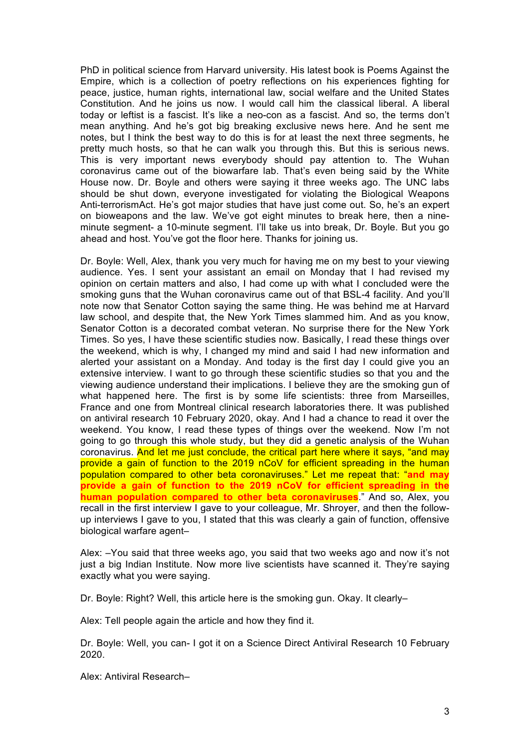PhD in political science from Harvard university. His latest book is Poems Against the Empire, which is a collection of poetry reflections on his experiences fighting for peace, justice, human rights, international law, social welfare and the United States Constitution. And he joins us now. I would call him the classical liberal. A liberal today or leftist is a fascist. It's like a neo-con as a fascist. And so, the terms don't mean anything. And he's got big breaking exclusive news here. And he sent me notes, but I think the best way to do this is for at least the next three segments, he pretty much hosts, so that he can walk you through this. But this is serious news. This is very important news everybody should pay attention to. The Wuhan coronavirus came out of the biowarfare lab. That's even being said by the White House now. Dr. Boyle and others were saying it three weeks ago. The UNC labs should be shut down, everyone investigated for violating the Biological Weapons Anti-terrorismAct. He's got major studies that have just come out. So, he's an expert on bioweapons and the law. We've got eight minutes to break here, then a nineminute segment- a 10-minute segment. I'll take us into break, Dr. Boyle. But you go ahead and host. You've got the floor here. Thanks for joining us.

Dr. Boyle: Well, Alex, thank you very much for having me on my best to your viewing audience. Yes. I sent your assistant an email on Monday that I had revised my opinion on certain matters and also, I had come up with what I concluded were the smoking guns that the Wuhan coronavirus came out of that BSL-4 facility. And you'll note now that Senator Cotton saying the same thing. He was behind me at Harvard law school, and despite that, the New York Times slammed him. And as you know, Senator Cotton is a decorated combat veteran. No surprise there for the New York Times. So yes, I have these scientific studies now. Basically, I read these things over the weekend, which is why, I changed my mind and said I had new information and alerted your assistant on a Monday. And today is the first day I could give you an extensive interview. I want to go through these scientific studies so that you and the viewing audience understand their implications. I believe they are the smoking gun of what happened here. The first is by some life scientists: three from Marseilles, France and one from Montreal clinical research laboratories there. It was published on antiviral research 10 February 2020, okay. And I had a chance to read it over the weekend. You know, I read these types of things over the weekend. Now I'm not going to go through this whole study, but they did a genetic analysis of the Wuhan coronavirus. And let me just conclude, the critical part here where it says, "and may provide a gain of function to the 2019 nCoV for efficient spreading in the human population compared to other beta coronaviruses." Let me repeat that: "**and may provide a gain of function to the 2019 nCoV for efficient spreading in the human population compared to other beta coronaviruses**." And so, Alex, you recall in the first interview I gave to your colleague, Mr. Shroyer, and then the followup interviews I gave to you, I stated that this was clearly a gain of function, offensive biological warfare agent–

Alex: –You said that three weeks ago, you said that two weeks ago and now it's not just a big Indian Institute. Now more live scientists have scanned it. They're saying exactly what you were saying.

Dr. Boyle: Right? Well, this article here is the smoking gun. Okay. It clearly–

Alex: Tell people again the article and how they find it.

Dr. Boyle: Well, you can- I got it on a Science Direct Antiviral Research 10 February 2020.

Alex: Antiviral Research–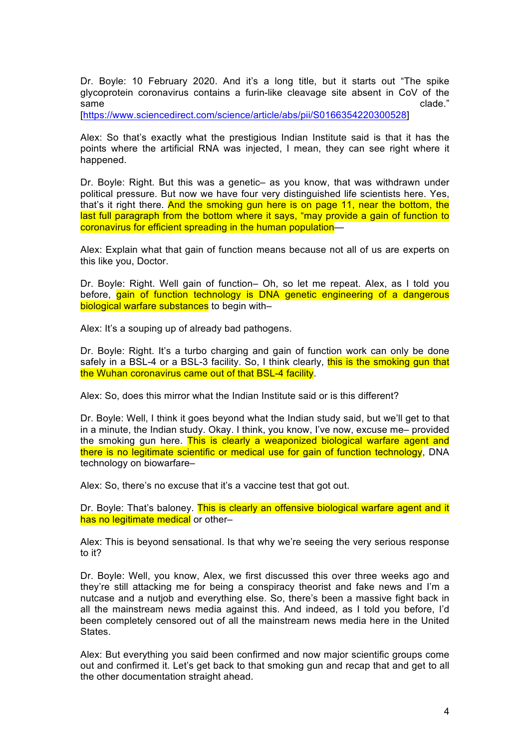Dr. Boyle: 10 February 2020. And it's a long title, but it starts out "The spike glycoprotein coronavirus contains a furin-like cleavage site absent in CoV of the  $\mathsf{same}$  clade."  $\mathsf{cancel}$ 

[https://www.sciencedirect.com/science/article/abs/pii/S0166354220300528]

Alex: So that's exactly what the prestigious Indian Institute said is that it has the points where the artificial RNA was injected, I mean, they can see right where it happened.

Dr. Boyle: Right. But this was a genetic– as you know, that was withdrawn under political pressure. But now we have four very distinguished life scientists here. Yes, that's it right there. And the smoking gun here is on page 11, near the bottom, the last full paragraph from the bottom where it says, "may provide a gain of function to coronavirus for efficient spreading in the human population—

Alex: Explain what that gain of function means because not all of us are experts on this like you, Doctor.

Dr. Boyle: Right. Well gain of function– Oh, so let me repeat. Alex, as I told you before, gain of function technology is DNA genetic engineering of a dangerous biological warfare substances to begin with-

Alex: It's a souping up of already bad pathogens.

Dr. Boyle: Right. It's a turbo charging and gain of function work can only be done safely in a BSL-4 or a BSL-3 facility. So, I think clearly, this is the smoking gun that the Wuhan coronavirus came out of that BSL-4 facility.

Alex: So, does this mirror what the Indian Institute said or is this different?

Dr. Boyle: Well, I think it goes beyond what the Indian study said, but we'll get to that in a minute, the Indian study. Okay. I think, you know, I've now, excuse me– provided the smoking gun here. This is clearly a weaponized biological warfare agent and there is no legitimate scientific or medical use for gain of function technology, DNA technology on biowarfare–

Alex: So, there's no excuse that it's a vaccine test that got out.

Dr. Boyle: That's baloney. This is clearly an offensive biological warfare agent and it has no legitimate medical or other-

Alex: This is beyond sensational. Is that why we're seeing the very serious response to it?

Dr. Boyle: Well, you know, Alex, we first discussed this over three weeks ago and they're still attacking me for being a conspiracy theorist and fake news and I'm a nutcase and a nutjob and everything else. So, there's been a massive fight back in all the mainstream news media against this. And indeed, as I told you before, I'd been completely censored out of all the mainstream news media here in the United States.

Alex: But everything you said been confirmed and now major scientific groups come out and confirmed it. Let's get back to that smoking gun and recap that and get to all the other documentation straight ahead.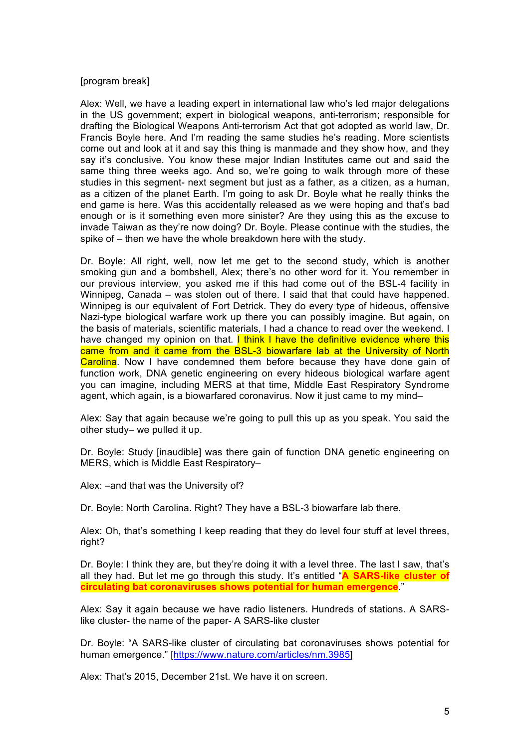## [program break]

Alex: Well, we have a leading expert in international law who's led major delegations in the US government; expert in biological weapons, anti-terrorism; responsible for drafting the Biological Weapons Anti-terrorism Act that got adopted as world law, Dr. Francis Boyle here. And I'm reading the same studies he's reading. More scientists come out and look at it and say this thing is manmade and they show how, and they say it's conclusive. You know these major Indian Institutes came out and said the same thing three weeks ago. And so, we're going to walk through more of these studies in this segment- next segment but just as a father, as a citizen, as a human, as a citizen of the planet Earth. I'm going to ask Dr. Boyle what he really thinks the end game is here. Was this accidentally released as we were hoping and that's bad enough or is it something even more sinister? Are they using this as the excuse to invade Taiwan as they're now doing? Dr. Boyle. Please continue with the studies, the spike of – then we have the whole breakdown here with the study.

Dr. Boyle: All right, well, now let me get to the second study, which is another smoking gun and a bombshell, Alex; there's no other word for it. You remember in our previous interview, you asked me if this had come out of the BSL-4 facility in Winnipeg, Canada – was stolen out of there. I said that that could have happened. Winnipeg is our equivalent of Fort Detrick. They do every type of hideous, offensive Nazi-type biological warfare work up there you can possibly imagine. But again, on the basis of materials, scientific materials, I had a chance to read over the weekend. I have changed my opinion on that. I think I have the definitive evidence where this came from and it came from the BSL-3 biowarfare lab at the University of North Carolina. Now I have condemned them before because they have done gain of function work, DNA genetic engineering on every hideous biological warfare agent you can imagine, including MERS at that time, Middle East Respiratory Syndrome agent, which again, is a biowarfared coronavirus. Now it just came to my mind–

Alex: Say that again because we're going to pull this up as you speak. You said the other study– we pulled it up.

Dr. Boyle: Study [inaudible] was there gain of function DNA genetic engineering on MERS, which is Middle East Respiratory–

Alex: –and that was the University of?

Dr. Boyle: North Carolina. Right? They have a BSL-3 biowarfare lab there.

Alex: Oh, that's something I keep reading that they do level four stuff at level threes, right?

Dr. Boyle: I think they are, but they're doing it with a level three. The last I saw, that's all they had. But let me go through this study. It's entitled "**A SARS-like cluster of circulating bat coronaviruses shows potential for human emergence**."

Alex: Say it again because we have radio listeners. Hundreds of stations. A SARSlike cluster- the name of the paper- A SARS-like cluster

Dr. Boyle: "A SARS-like cluster of circulating bat coronaviruses shows potential for human emergence." [https://www.nature.com/articles/nm.3985]

Alex: That's 2015, December 21st. We have it on screen.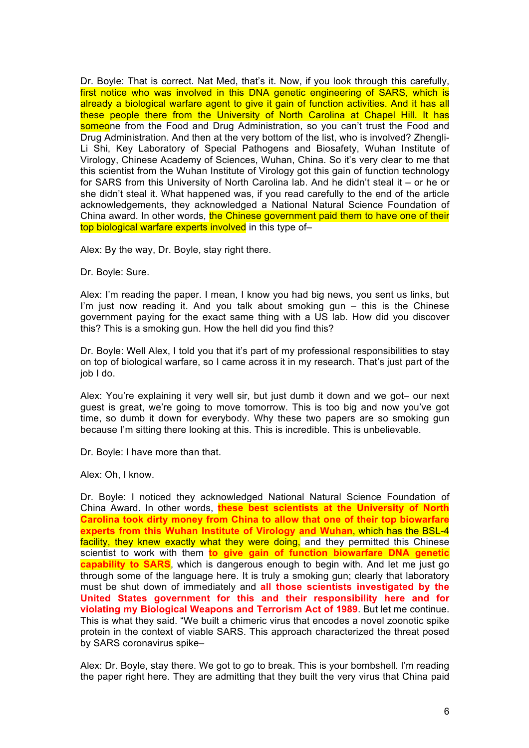Dr. Boyle: That is correct. Nat Med, that's it. Now, if you look through this carefully, first notice who was involved in this DNA genetic engineering of SARS, which is already a biological warfare agent to give it gain of function activities. And it has all these people there from the University of North Carolina at Chapel Hill. It has someone from the Food and Drug Administration, so you can't trust the Food and Drug Administration. And then at the very bottom of the list, who is involved? Zhengli-Li Shi, Key Laboratory of Special Pathogens and Biosafety, Wuhan Institute of Virology, Chinese Academy of Sciences, Wuhan, China. So it's very clear to me that this scientist from the Wuhan Institute of Virology got this gain of function technology for SARS from this University of North Carolina lab. And he didn't steal it – or he or she didn't steal it. What happened was, if you read carefully to the end of the article acknowledgements, they acknowledged a National Natural Science Foundation of China award. In other words, the Chinese government paid them to have one of their top biological warfare experts involved in this type of-

Alex: By the way, Dr. Boyle, stay right there.

Dr. Boyle: Sure.

Alex: I'm reading the paper. I mean, I know you had big news, you sent us links, but I'm just now reading it. And you talk about smoking gun – this is the Chinese government paying for the exact same thing with a US lab. How did you discover this? This is a smoking gun. How the hell did you find this?

Dr. Boyle: Well Alex, I told you that it's part of my professional responsibilities to stay on top of biological warfare, so I came across it in my research. That's just part of the job I do.

Alex: You're explaining it very well sir, but just dumb it down and we got– our next guest is great, we're going to move tomorrow. This is too big and now you've got time, so dumb it down for everybody. Why these two papers are so smoking gun because I'm sitting there looking at this. This is incredible. This is unbelievable.

Dr. Boyle: I have more than that.

Alex: Oh, I know.

Dr. Boyle: I noticed they acknowledged National Natural Science Foundation of China Award. In other words, **these best scientists at the University of North Carolina took dirty money from China to allow that one of their top biowarfare experts from this Wuhan Institute of Virology and Wuhan**, which has the BSL-4 facility, they knew exactly what they were doing, and they permitted this Chinese scientist to work with them **to give gain of function biowarfare DNA genetic capability to SARS**, which is dangerous enough to begin with. And let me just go through some of the language here. It is truly a smoking gun; clearly that laboratory must be shut down of immediately and **all those scientists investigated by the United States government for this and their responsibility here and for violating my Biological Weapons and Terrorism Act of 1989**. But let me continue. This is what they said. "We built a chimeric virus that encodes a novel zoonotic spike protein in the context of viable SARS. This approach characterized the threat posed by SARS coronavirus spike–

Alex: Dr. Boyle, stay there. We got to go to break. This is your bombshell. I'm reading the paper right here. They are admitting that they built the very virus that China paid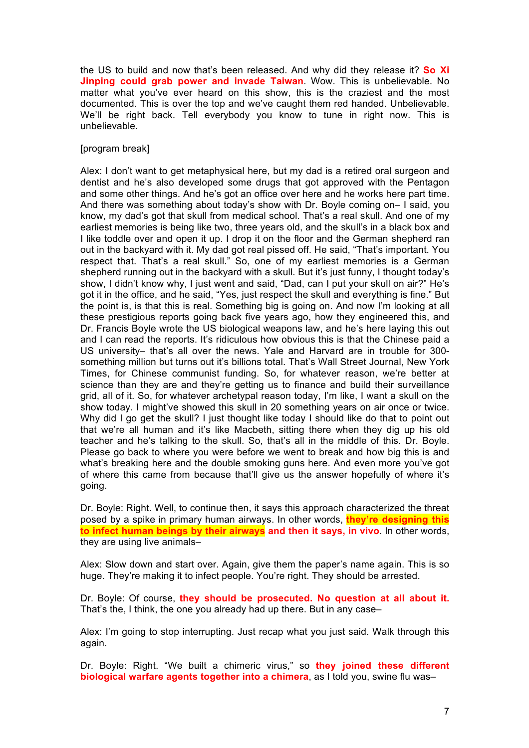the US to build and now that's been released. And why did they release it? **So Xi Jinping could grab power and invade Taiwan**. Wow. This is unbelievable. No matter what you've ever heard on this show, this is the craziest and the most documented. This is over the top and we've caught them red handed. Unbelievable. We'll be right back. Tell everybody you know to tune in right now. This is unbelievable.

#### [program break]

Alex: I don't want to get metaphysical here, but my dad is a retired oral surgeon and dentist and he's also developed some drugs that got approved with the Pentagon and some other things. And he's got an office over here and he works here part time. And there was something about today's show with Dr. Boyle coming on– I said, you know, my dad's got that skull from medical school. That's a real skull. And one of my earliest memories is being like two, three years old, and the skull's in a black box and I like toddle over and open it up. I drop it on the floor and the German shepherd ran out in the backyard with it. My dad got real pissed off. He said, "That's important. You respect that. That's a real skull." So, one of my earliest memories is a German shepherd running out in the backyard with a skull. But it's just funny, I thought today's show, I didn't know why, I just went and said, "Dad, can I put your skull on air?" He's got it in the office, and he said, "Yes, just respect the skull and everything is fine." But the point is, is that this is real. Something big is going on. And now I'm looking at all these prestigious reports going back five years ago, how they engineered this, and Dr. Francis Boyle wrote the US biological weapons law, and he's here laying this out and I can read the reports. It's ridiculous how obvious this is that the Chinese paid a US university– that's all over the news. Yale and Harvard are in trouble for 300 something million but turns out it's billions total. That's Wall Street Journal, New York Times, for Chinese communist funding. So, for whatever reason, we're better at science than they are and they're getting us to finance and build their surveillance grid, all of it. So, for whatever archetypal reason today, I'm like, I want a skull on the show today. I might've showed this skull in 20 something years on air once or twice. Why did I go get the skull? I just thought like today I should like do that to point out that we're all human and it's like Macbeth, sitting there when they dig up his old teacher and he's talking to the skull. So, that's all in the middle of this. Dr. Boyle. Please go back to where you were before we went to break and how big this is and what's breaking here and the double smoking guns here. And even more you've got of where this came from because that'll give us the answer hopefully of where it's going.

Dr. Boyle: Right. Well, to continue then, it says this approach characterized the threat posed by a spike in primary human airways. In other words, **they're designing this to infect human beings by their airways and then it says, in vivo**. In other words, they are using live animals–

Alex: Slow down and start over. Again, give them the paper's name again. This is so huge. They're making it to infect people. You're right. They should be arrested.

Dr. Boyle: Of course, **they should be prosecuted. No question at all about it.** That's the, I think, the one you already had up there. But in any case–

Alex: I'm going to stop interrupting. Just recap what you just said. Walk through this again.

Dr. Boyle: Right. "We built a chimeric virus," so **they joined these different biological warfare agents together into a chimera**, as I told you, swine flu was–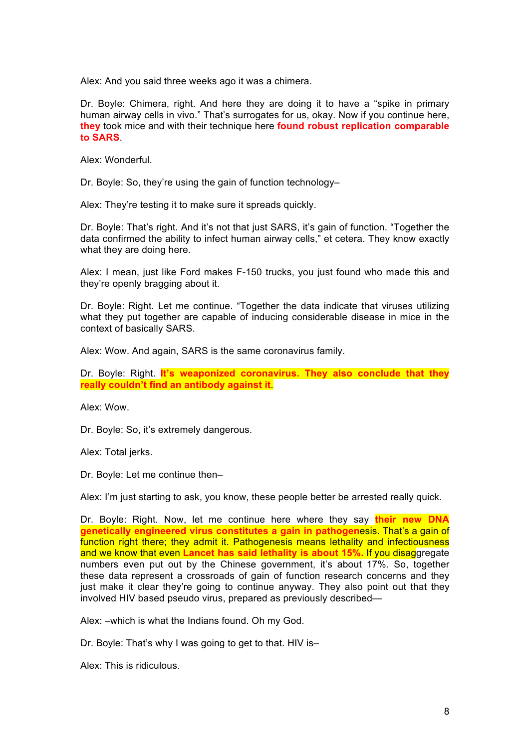Alex: And you said three weeks ago it was a chimera.

Dr. Boyle: Chimera, right. And here they are doing it to have a "spike in primary human airway cells in vivo." That's surrogates for us, okay. Now if you continue here, **they** took mice and with their technique here **found robust replication comparable to SARS**.

Alex: Wonderful.

Dr. Boyle: So, they're using the gain of function technology–

Alex: They're testing it to make sure it spreads quickly.

Dr. Boyle: That's right. And it's not that just SARS, it's gain of function. "Together the data confirmed the ability to infect human airway cells," et cetera. They know exactly what they are doing here.

Alex: I mean, just like Ford makes F-150 trucks, you just found who made this and they're openly bragging about it.

Dr. Boyle: Right. Let me continue. "Together the data indicate that viruses utilizing what they put together are capable of inducing considerable disease in mice in the context of basically SARS.

Alex: Wow. And again, SARS is the same coronavirus family.

Dr. Boyle: Right. **It's weaponized coronavirus. They also conclude that they really couldn't find an antibody against it**.

Alex: Wow.

Dr. Boyle: So, it's extremely dangerous.

Alex: Total jerks.

Dr. Boyle: Let me continue then–

Alex: I'm just starting to ask, you know, these people better be arrested really quick.

Dr. Boyle: Right. Now, let me continue here where they say **their new DNA genetically engineered virus constitutes a gain in pathogen**esis. That's a gain of function right there; they admit it. Pathogenesis means lethality and infectiousness and we know that even **Lancet has said lethality is about 15%.** If you disaggregate numbers even put out by the Chinese government, it's about 17%. So, together these data represent a crossroads of gain of function research concerns and they just make it clear they're going to continue anyway. They also point out that they involved HIV based pseudo virus, prepared as previously described—

Alex: –which is what the Indians found. Oh my God.

Dr. Boyle: That's why I was going to get to that. HIV is–

Alex: This is ridiculous.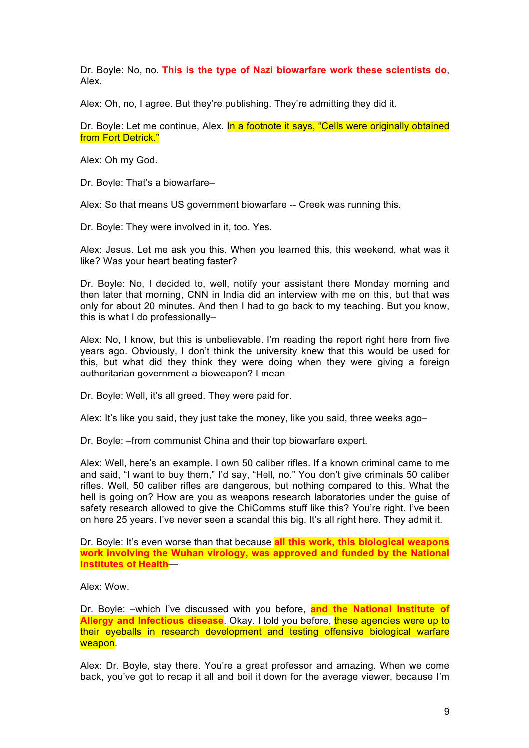Dr. Boyle: No, no. **This is the type of Nazi biowarfare work these scientists do**, Alex.

Alex: Oh, no, I agree. But they're publishing. They're admitting they did it.

Dr. Boyle: Let me continue, Alex. In a footnote it says, "Cells were originally obtained from Fort Detrick."

Alex: Oh my God.

Dr. Boyle: That's a biowarfare–

Alex: So that means US government biowarfare -- Creek was running this.

Dr. Boyle: They were involved in it, too. Yes.

Alex: Jesus. Let me ask you this. When you learned this, this weekend, what was it like? Was your heart beating faster?

Dr. Boyle: No, I decided to, well, notify your assistant there Monday morning and then later that morning, CNN in India did an interview with me on this, but that was only for about 20 minutes. And then I had to go back to my teaching. But you know, this is what I do professionally–

Alex: No, I know, but this is unbelievable. I'm reading the report right here from five years ago. Obviously, I don't think the university knew that this would be used for this, but what did they think they were doing when they were giving a foreign authoritarian government a bioweapon? I mean–

Dr. Boyle: Well, it's all greed. They were paid for.

Alex: It's like you said, they just take the money, like you said, three weeks ago–

Dr. Boyle: –from communist China and their top biowarfare expert.

Alex: Well, here's an example. I own 50 caliber rifles. If a known criminal came to me and said, "I want to buy them," I'd say, "Hell, no." You don't give criminals 50 caliber rifles. Well, 50 caliber rifles are dangerous, but nothing compared to this. What the hell is going on? How are you as weapons research laboratories under the guise of safety research allowed to give the ChiComms stuff like this? You're right. I've been on here 25 years. I've never seen a scandal this big. It's all right here. They admit it.

Dr. Boyle: It's even worse than that because **all this work, this biological weapons work involving the Wuhan virology, was approved and funded by the National Institutes of Health**—

Alex: Wow.

Dr. Boyle: –which I've discussed with you before, **and the National Institute of Allergy and Infectious disease**. Okay. I told you before, these agencies were up to their eyeballs in research development and testing offensive biological warfare weapon.

Alex: Dr. Boyle, stay there. You're a great professor and amazing. When we come back, you've got to recap it all and boil it down for the average viewer, because I'm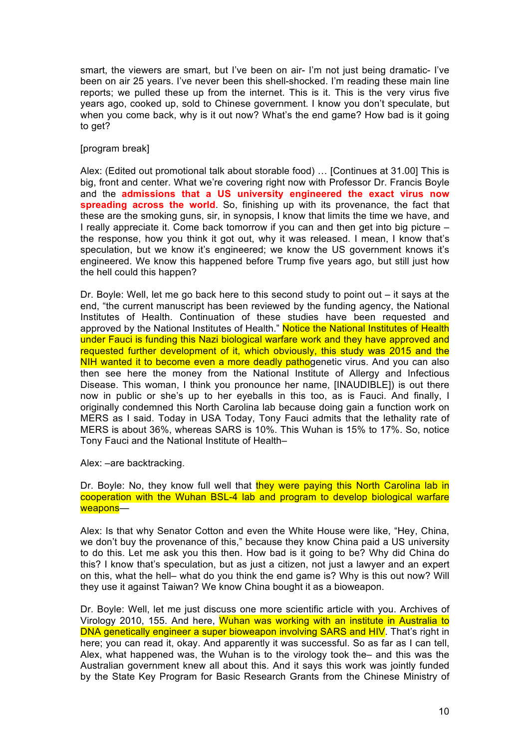smart, the viewers are smart, but I've been on air- I'm not just being dramatic- I've been on air 25 years. I've never been this shell-shocked. I'm reading these main line reports; we pulled these up from the internet. This is it. This is the very virus five years ago, cooked up, sold to Chinese government. I know you don't speculate, but when you come back, why is it out now? What's the end game? How bad is it going to get?

## [program break]

Alex: (Edited out promotional talk about storable food) … [Continues at 31.00] This is big, front and center. What we're covering right now with Professor Dr. Francis Boyle and the **admissions that a US university engineered the exact virus now spreading across the world**. So, finishing up with its provenance, the fact that these are the smoking guns, sir, in synopsis, I know that limits the time we have, and I really appreciate it. Come back tomorrow if you can and then get into big picture – the response, how you think it got out, why it was released. I mean, I know that's speculation, but we know it's engineered; we know the US government knows it's engineered. We know this happened before Trump five years ago, but still just how the hell could this happen?

Dr. Boyle: Well, let me go back here to this second study to point out – it says at the end, "the current manuscript has been reviewed by the funding agency, the National Institutes of Health. Continuation of these studies have been requested and approved by the National Institutes of Health." Notice the National Institutes of Health under Fauci is funding this Nazi biological warfare work and they have approved and requested further development of it, which obviously, this study was 2015 and the NIH wanted it to become even a more deadly pathogenetic virus. And you can also then see here the money from the National Institute of Allergy and Infectious Disease. This woman, I think you pronounce her name, [INAUDIBLE]) is out there now in public or she's up to her eyeballs in this too, as is Fauci. And finally, I originally condemned this North Carolina lab because doing gain a function work on MERS as I said. Today in USA Today, Tony Fauci admits that the lethality rate of MERS is about 36%, whereas SARS is 10%. This Wuhan is 15% to 17%. So, notice Tony Fauci and the National Institute of Health–

Alex: –are backtracking.

Dr. Boyle: No, they know full well that they were paying this North Carolina lab in cooperation with the Wuhan BSL-4 lab and program to develop biological warfare weapons—

Alex: Is that why Senator Cotton and even the White House were like, "Hey, China, we don't buy the provenance of this," because they know China paid a US university to do this. Let me ask you this then. How bad is it going to be? Why did China do this? I know that's speculation, but as just a citizen, not just a lawyer and an expert on this, what the hell– what do you think the end game is? Why is this out now? Will they use it against Taiwan? We know China bought it as a bioweapon.

Dr. Boyle: Well, let me just discuss one more scientific article with you. Archives of Virology 2010, 155. And here, Wuhan was working with an institute in Australia to DNA genetically engineer a super bioweapon involving SARS and HIV. That's right in here; you can read it, okay. And apparently it was successful. So as far as I can tell, Alex, what happened was, the Wuhan is to the virology took the– and this was the Australian government knew all about this. And it says this work was jointly funded by the State Key Program for Basic Research Grants from the Chinese Ministry of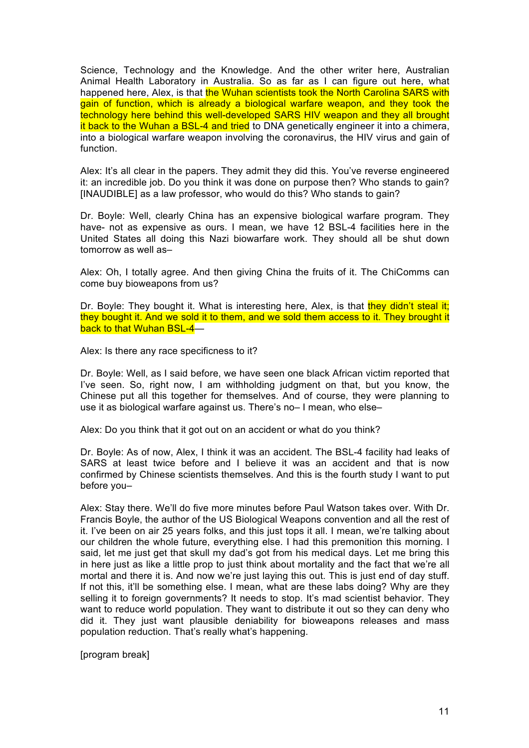Science, Technology and the Knowledge. And the other writer here, Australian Animal Health Laboratory in Australia. So as far as I can figure out here, what happened here, Alex, is that the Wuhan scientists took the North Carolina SARS with gain of function, which is already a biological warfare weapon, and they took the technology here behind this well-developed SARS HIV weapon and they all brought it back to the Wuhan a BSL-4 and tried to DNA genetically engineer it into a chimera, into a biological warfare weapon involving the coronavirus, the HIV virus and gain of function.

Alex: It's all clear in the papers. They admit they did this. You've reverse engineered it: an incredible job. Do you think it was done on purpose then? Who stands to gain? [INAUDIBLE] as a law professor, who would do this? Who stands to gain?

Dr. Boyle: Well, clearly China has an expensive biological warfare program. They have- not as expensive as ours. I mean, we have 12 BSL-4 facilities here in the United States all doing this Nazi biowarfare work. They should all be shut down tomorrow as well as–

Alex: Oh, I totally agree. And then giving China the fruits of it. The ChiComms can come buy bioweapons from us?

Dr. Boyle: They bought it. What is interesting here, Alex, is that they didn't steal it; they bought it. And we sold it to them, and we sold them access to it. They brought it back to that Wuhan BSL-4—

Alex: Is there any race specificness to it?

Dr. Boyle: Well, as I said before, we have seen one black African victim reported that I've seen. So, right now, I am withholding judgment on that, but you know, the Chinese put all this together for themselves. And of course, they were planning to use it as biological warfare against us. There's no– I mean, who else–

Alex: Do you think that it got out on an accident or what do you think?

Dr. Boyle: As of now, Alex, I think it was an accident. The BSL-4 facility had leaks of SARS at least twice before and I believe it was an accident and that is now confirmed by Chinese scientists themselves. And this is the fourth study I want to put before you–

Alex: Stay there. We'll do five more minutes before Paul Watson takes over. With Dr. Francis Boyle, the author of the US Biological Weapons convention and all the rest of it. I've been on air 25 years folks, and this just tops it all. I mean, we're talking about our children the whole future, everything else. I had this premonition this morning. I said, let me just get that skull my dad's got from his medical days. Let me bring this in here just as like a little prop to just think about mortality and the fact that we're all mortal and there it is. And now we're just laying this out. This is just end of day stuff. If not this, it'll be something else. I mean, what are these labs doing? Why are they selling it to foreign governments? It needs to stop. It's mad scientist behavior. They want to reduce world population. They want to distribute it out so they can deny who did it. They just want plausible deniability for bioweapons releases and mass population reduction. That's really what's happening.

[program break]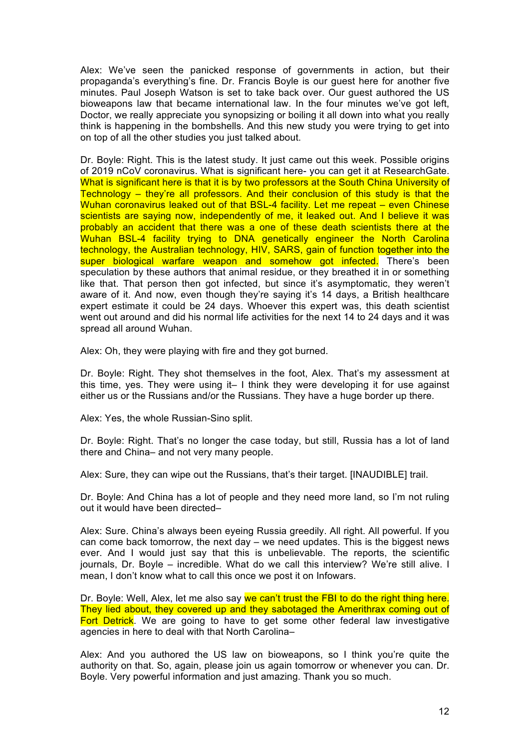Alex: We've seen the panicked response of governments in action, but their propaganda's everything's fine. Dr. Francis Boyle is our guest here for another five minutes. Paul Joseph Watson is set to take back over. Our guest authored the US bioweapons law that became international law. In the four minutes we've got left, Doctor, we really appreciate you synopsizing or boiling it all down into what you really think is happening in the bombshells. And this new study you were trying to get into on top of all the other studies you just talked about.

Dr. Boyle: Right. This is the latest study. It just came out this week. Possible origins of 2019 nCoV coronavirus. What is significant here- you can get it at ResearchGate. What is significant here is that it is by two professors at the South China University of Technology – they're all professors. And their conclusion of this study is that the Wuhan coronavirus leaked out of that BSL-4 facility. Let me repeat - even Chinese scientists are saying now, independently of me, it leaked out. And I believe it was probably an accident that there was a one of these death scientists there at the Wuhan BSL-4 facility trying to DNA genetically engineer the North Carolina technology, the Australian technology, HIV, SARS, gain of function together into the super biological warfare weapon and somehow got infected. There's been speculation by these authors that animal residue, or they breathed it in or something like that. That person then got infected, but since it's asymptomatic, they weren't aware of it. And now, even though they're saying it's 14 days, a British healthcare expert estimate it could be 24 days. Whoever this expert was, this death scientist went out around and did his normal life activities for the next 14 to 24 days and it was spread all around Wuhan.

Alex: Oh, they were playing with fire and they got burned.

Dr. Boyle: Right. They shot themselves in the foot, Alex. That's my assessment at this time, yes. They were using it– I think they were developing it for use against either us or the Russians and/or the Russians. They have a huge border up there.

Alex: Yes, the whole Russian-Sino split.

Dr. Boyle: Right. That's no longer the case today, but still, Russia has a lot of land there and China– and not very many people.

Alex: Sure, they can wipe out the Russians, that's their target. [INAUDIBLE] trail.

Dr. Boyle: And China has a lot of people and they need more land, so I'm not ruling out it would have been directed–

Alex: Sure. China's always been eyeing Russia greedily. All right. All powerful. If you can come back tomorrow, the next day  $-$  we need updates. This is the biggest news ever. And I would just say that this is unbelievable. The reports, the scientific journals, Dr. Boyle – incredible. What do we call this interview? We're still alive. I mean, I don't know what to call this once we post it on Infowars.

Dr. Boyle: Well, Alex, let me also say we can't trust the FBI to do the right thing here. They lied about, they covered up and they sabotaged the Amerithrax coming out of Fort Detrick. We are going to have to get some other federal law investigative agencies in here to deal with that North Carolina–

Alex: And you authored the US law on bioweapons, so I think you're quite the authority on that. So, again, please join us again tomorrow or whenever you can. Dr. Boyle. Very powerful information and just amazing. Thank you so much.